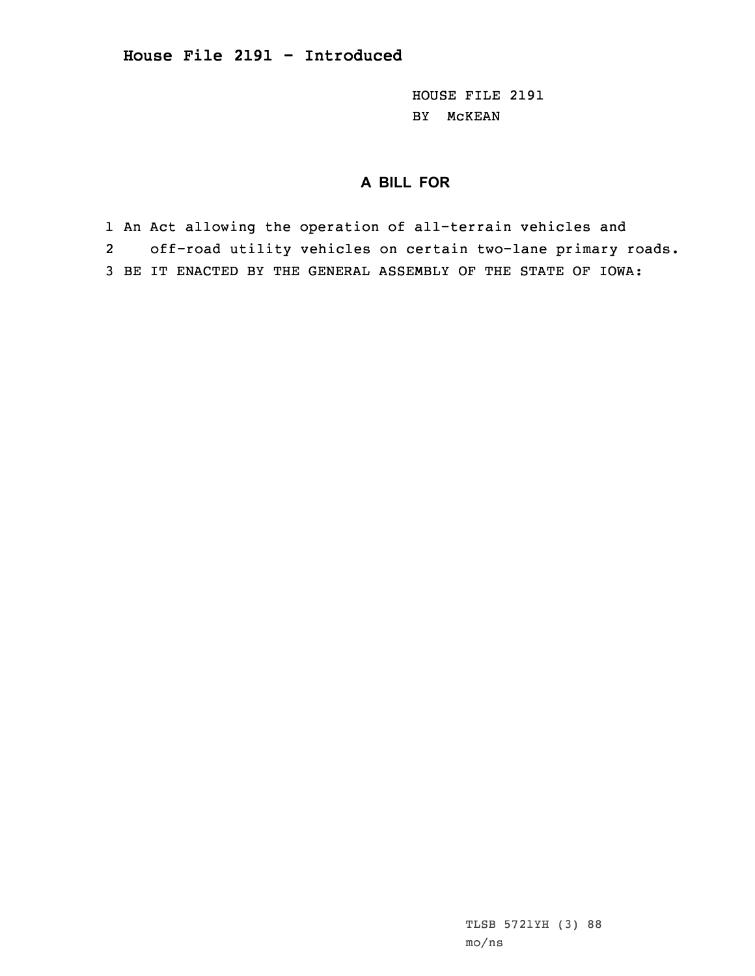HOUSE FILE 2191 BY McKEAN

## **A BILL FOR**

1 An Act allowing the operation of all-terrain vehicles and 2 off-road utility vehicles on certain two-lane primary roads. 3 BE IT ENACTED BY THE GENERAL ASSEMBLY OF THE STATE OF IOWA:

> TLSB 5721YH (3) 88 mo/ns